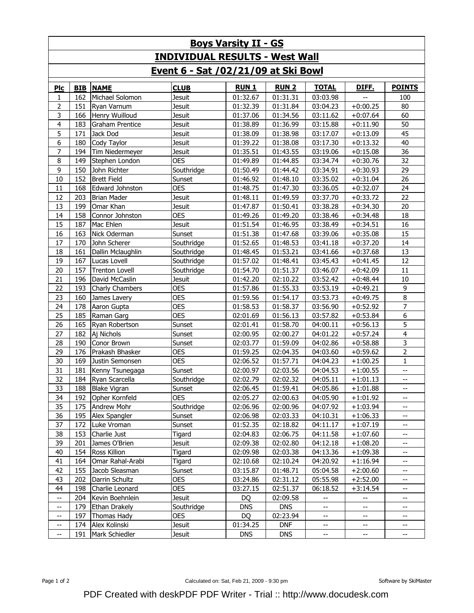| <b>Boys Varsity II - GS</b>           |            |                        |               |              |              |                          |              |                          |  |  |  |  |
|---------------------------------------|------------|------------------------|---------------|--------------|--------------|--------------------------|--------------|--------------------------|--|--|--|--|
| <b>INDIVIDUAL RESULTS - West Wall</b> |            |                        |               |              |              |                          |              |                          |  |  |  |  |
| Event 6 - Sat /02/21/09 at Ski Bowl   |            |                        |               |              |              |                          |              |                          |  |  |  |  |
| Plc                                   | <b>BIB</b> | <b>NAME</b>            | <b>CLUB</b>   | <b>RUN 1</b> | <b>RUN 2</b> | <b>TOTAL</b>             | <u>DIFF.</u> | <b>POINTS</b>            |  |  |  |  |
| 1                                     | 162        | Michael Solomon        | Jesuit        | 01:32.67     | 01:31.31     | 03:03.98                 | --           | 100                      |  |  |  |  |
| $\mathbf{2}$                          | 151        | Ryan Varnum            | <b>Jesuit</b> | 01:32.39     | 01:31.84     | 03:04.23                 | $+0:00.25$   | 80                       |  |  |  |  |
| 3                                     | 166        | Henry Wuilloud         | <b>Jesuit</b> | 01:37.06     | 01:34.56     | 03:11.62                 | $+0:07.64$   | 60                       |  |  |  |  |
| 4                                     | 183        | Graham Prentice        | Jesuit        | 01:38.89     | 01:36.99     | 03:15.88                 | $+0:11.90$   | 50                       |  |  |  |  |
| 5                                     | 171        | Jack Dod               | Jesuit        | 01:38.09     | 01:38.98     | 03:17.07                 | $+0:13.09$   | 45                       |  |  |  |  |
| 6                                     | 180        | Cody Taylor            | Jesuit        | 01:39.22     | 01:38.08     | 03:17.30                 | $+0:13.32$   | 40                       |  |  |  |  |
| $\overline{7}$                        | 194        | Tim Niedermeyer        | Jesuit        | 01:35.51     | 01:43.55     | 03:19.06                 | $+0:15.08$   | 36                       |  |  |  |  |
| 8                                     | 149        | Stephen London         | <b>OES</b>    | 01:49.89     | 01:44.85     | 03:34.74                 | $+0:30.76$   | 32                       |  |  |  |  |
| 9                                     | 150        | John Richter           | Southridge    | 01:50.49     | 01:44.42     | 03:34.91                 | $+0:30.93$   | 29                       |  |  |  |  |
| 10                                    | 152        | <b>Brett Field</b>     | Sunset        | 01:46.92     | 01:48.10     | 03:35.02                 | $+0:31.04$   | $\overline{26}$          |  |  |  |  |
| 11                                    | 168        | <b>Edward Johnston</b> | <b>OES</b>    | 01:48.75     | 01:47.30     | 03:36.05                 | $+0:32.07$   | 24                       |  |  |  |  |
| 12                                    | 203        | <b>Brian Mader</b>     | Jesuit        | 01:48.11     | 01:49.59     | 03:37.70                 | $+0:33.72$   | 22                       |  |  |  |  |
| 13                                    | 199        | Omar Khan              | <b>Jesuit</b> | 01:47.87     | 01:50.41     | 03:38.28                 | $+0:34.30$   | 20                       |  |  |  |  |
| 14                                    | 158        | Connor Johnston        | <b>OES</b>    | 01:49.26     | 01:49.20     | 03:38.46                 | $+0:34.48$   | 18                       |  |  |  |  |
| 15                                    | 187        | Mac Ehlen              | <b>Jesuit</b> | 01:51.54     | 01:46.95     | 03:38.49                 | $+0:34.51$   | 16                       |  |  |  |  |
| 16                                    | 163        | Nick Oderman           | Sunset        | 01:51.38     | 01:47.68     | 03:39.06                 | $+0:35.08$   | 15                       |  |  |  |  |
| 17                                    | 170        | John Scherer           | Southridge    | 01:52.65     | 01:48.53     | 03:41.18                 | $+0:37.20$   | 14                       |  |  |  |  |
| 18                                    | 161        | Dallin Mclaughlin      | Southridge    | 01:48.45     | 01:53.21     | 03:41.66                 | $+0:37.68$   | 13                       |  |  |  |  |
| 19                                    | 167        | Lucas Lovell           | Southridge    | 01:57.02     | 01:48.41     | 03:45.43                 | $+0:41.45$   | 12                       |  |  |  |  |
| 20                                    | 157        | <b>Trenton Lovell</b>  | Southridge    | 01:54.70     | 01:51.37     | 03:46.07                 | $+0:42.09$   | 11                       |  |  |  |  |
| 21                                    | 196        | David McCaslin         | <b>Jesuit</b> | 01:42.20     | 02:10.22     | 03:52.42                 | $+0:48.44$   | 10                       |  |  |  |  |
| 22                                    | 193        | Charly Chambers        | <b>OES</b>    | 01:57.86     | 01:55.33     | 03:53.19                 | $+0:49.21$   | 9                        |  |  |  |  |
| 23                                    | 160        | James Lavery           | <b>OES</b>    | 01:59.56     | 01:54.17     | 03:53.73                 | $+0:49.75$   | 8                        |  |  |  |  |
| 24                                    | 178        | Aaron Gupta            | <b>OES</b>    | 01:58.53     | 01:58.37     | 03:56.90                 | $+0:52.92$   | $\overline{7}$           |  |  |  |  |
| 25                                    | 185        | Raman Garg             | <b>OES</b>    | 02:01.69     | 01:56.13     | 03:57.82                 | $+0:53.84$   | 6                        |  |  |  |  |
| 26                                    | 165        | Ryan Robertson         | Sunset        | 02:01.41     | 01:58.70     | 04:00.11                 | $+0:56.13$   | 5                        |  |  |  |  |
| 27                                    | 182        | Aj Nichols             | Sunset        | 02:00.95     | 02:00.27     | 04:01.22                 | $+0:57.24$   | $\overline{\mathbf{4}}$  |  |  |  |  |
| 28                                    | 190        | Conor Brown            | Sunset        | 02:03.77     | 01:59.09     | 04:02.86                 | $+0:58.88$   | 3                        |  |  |  |  |
| 29                                    | 176        | Prakash Bhasker        | <b>OES</b>    | 01:59.25     | 02:04.35     | 04:03.60                 | $+0:59.62$   | $\mathbf 2$              |  |  |  |  |
| 30                                    | 169        | Justin Semonsen        | <b>OES</b>    | 02:06.52     | 01:57.71     | 04:04.23                 | $+1:00.25$   | $\mathbf{1}$             |  |  |  |  |
| 31                                    | 181        | Kenny Tsunegaga        | Sunset        | 02:00.97     | 02:03.56     | 04:04.53                 | $+1:00.55$   | $\overline{\phantom{a}}$ |  |  |  |  |
| 32                                    | 184        | Ryan Scarcella         | Southridge    | 02:02.79     | 02:02.32     | 04:05.11                 | $+1:01.13$   | $\overline{\phantom{a}}$ |  |  |  |  |
| 33                                    | 188        | <b>Blake Vigran</b>    | Sunset        | 02:06.45     | 01:59.41     | 04:05.86                 | $+1:01.88$   | $- -$                    |  |  |  |  |
| 34                                    | 192        | Opher Kornfeld         | <b>OES</b>    | 02:05.27     | 02:00.63     | 04:05.90                 | $+1:01.92$   | --                       |  |  |  |  |
| 35                                    | 175        | Andrew Mohr            | Southridge    | 02:06.96     | 02:00.96     | 04:07.92                 | $+1:03.94$   |                          |  |  |  |  |
| 36                                    | 195        | Alex Spangler          | Sunset        | 02:06.98     | 02:03.33     | 04:10.31                 | $+1:06.33$   | --                       |  |  |  |  |
| 37                                    | 172        | Luke Vroman            | Sunset        | 01:52.35     | 02:18.82     | 04:11.17                 | $+1:07.19$   | $-$                      |  |  |  |  |
| 38                                    | 153        | Charlie Just           | Tigard        | 02:04.83     | 02:06.75     | 04:11.58                 | $+1:07.60$   |                          |  |  |  |  |
| 39                                    | 201        | James O'Brien          | Jesuit        | 02:09.38     | 02:02.80     | 04:12.18                 | $+1:08.20$   | --                       |  |  |  |  |
| 40                                    | 154        | Ross Killion           | Tigard        | 02:09.98     | 02:03.38     | 04:13.36                 | $+1:09.38$   | --                       |  |  |  |  |
| 41                                    | 164        | Omar Rahal-Arabi       | Tigard        | 02:10.68     | 02:10.24     | 04:20.92                 | $+1:16.94$   | --                       |  |  |  |  |
| 42                                    | 155        | Jacob Sleasman         | Sunset        | 03:15.87     | 01:48.71     | 05:04.58                 | $+2:00.60$   | $-$                      |  |  |  |  |
| 43                                    | 202        | Darrin Schultz         | <b>OES</b>    | 03:24.86     | 02:31.12     | 05:55.98                 | $+2:52.00$   | $-$                      |  |  |  |  |
| 44                                    | 198        | Charlie Leonard        | <b>OES</b>    | 03:27.15     | 02:51.37     | 06:18.52                 | $+3:14.54$   | $\overline{\phantom{a}}$ |  |  |  |  |
| $\overline{\phantom{a}}$              | 204        | Kevin Boehnlein        | Jesuit        | <b>DQ</b>    | 02:09.58     | $-$                      | --           | --                       |  |  |  |  |
| $\hspace{0.05cm} \dashrightarrow$     | 179        | <b>Ethan Drakely</b>   | Southridge    | <b>DNS</b>   | <b>DNS</b>   | $-\!$                    | --           | --                       |  |  |  |  |
| $\hspace{0.05cm} \dashrightarrow$     | 197        | Thomas Hady            | <b>OES</b>    | <b>DQ</b>    | 02:23.94     | $- -$                    | --           | --                       |  |  |  |  |
| $\hspace{0.05cm} \dashrightarrow$     | 174        | Alex Kolinski          | Jesuit        | 01:34.25     | <b>DNF</b>   | $\overline{\phantom{a}}$ | $-\!$        | $-\!$                    |  |  |  |  |
| $\overline{\phantom{a}}$              | 191        | Mark Schiedler         | Jesuit        | <b>DNS</b>   | <b>DNS</b>   | $-\!$                    | --           | $-\!$                    |  |  |  |  |